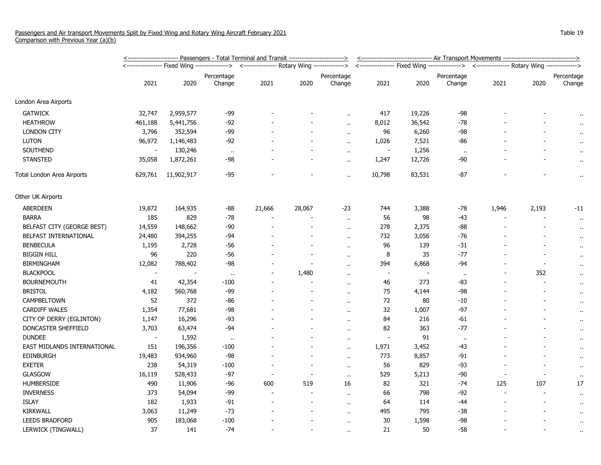|                             |                          | <u>&lt;----------------------- Passengers - Total Terminal and Transit ------------------------&gt;</u> | <u>&lt;------------------------------- Air Transport Movements -------------------------------&gt;</u> |        |                          |                      |                          |                                                                                          |                      |                |       |                      |
|-----------------------------|--------------------------|---------------------------------------------------------------------------------------------------------|--------------------------------------------------------------------------------------------------------|--------|--------------------------|----------------------|--------------------------|------------------------------------------------------------------------------------------|----------------------|----------------|-------|----------------------|
|                             |                          |                                                                                                         | <--------------- Rotary Wing -------------->                                                           |        |                          |                      |                          | <---------------- Fixed Wing --------------> <--------------- Rotary Wing -------------> |                      |                |       |                      |
|                             |                          |                                                                                                         | Percentage                                                                                             |        |                          | Percentage           |                          |                                                                                          | Percentage           |                |       | Percentage           |
|                             | 2021                     | 2020                                                                                                    | Change                                                                                                 | 2021   | 2020                     | Change               | 2021                     | 2020                                                                                     | Change               | 2021           | 2020  | Change               |
| London Area Airports        |                          |                                                                                                         |                                                                                                        |        |                          |                      |                          |                                                                                          |                      |                |       |                      |
| <b>GATWICK</b>              | 32,747                   | 2,959,577                                                                                               | $-99$                                                                                                  |        |                          |                      | 417                      | 19,226                                                                                   | $-98$                |                |       |                      |
| <b>HEATHROW</b>             | 461,188                  | 5,441,756                                                                                               | $-92$                                                                                                  |        |                          | $\ddot{\phantom{a}}$ | 8,012                    | 36,542                                                                                   | -78                  |                |       | $\bullet$            |
| <b>LONDON CITY</b>          | 3,796                    | 352,594                                                                                                 | -99                                                                                                    |        |                          | $\ddotsc$            | 96                       | 6,260                                                                                    | -98                  |                |       | $\cdot$ .            |
| <b>LUTON</b>                | 96,972                   | 1,146,483                                                                                               | $-92$                                                                                                  |        |                          | $\ddot{\phantom{a}}$ | 1,026                    | 7,521                                                                                    | -86                  |                |       | $\ddot{\phantom{1}}$ |
| SOUTHEND                    | $\sim$                   | 130,246                                                                                                 | $\sim$                                                                                                 |        |                          | $\ddot{\phantom{1}}$ | $\sim$                   | 1,256                                                                                    | $\mathbf{u}$         |                |       | $\bullet$ .          |
| <b>STANSTED</b>             | 35,058                   | 1,872,261                                                                                               | $-98$                                                                                                  |        |                          | $\alpha$             | 1,247                    | 12,726                                                                                   | -90                  |                |       | $\alpha$             |
| Total London Area Airports  | 629,761                  | 11,902,917                                                                                              | $-95$                                                                                                  |        |                          | $\ddot{\phantom{a}}$ | 10,798                   | 83,531                                                                                   | $-87$                |                |       | $\ddot{\phantom{1}}$ |
| Other UK Airports           |                          |                                                                                                         |                                                                                                        |        |                          |                      |                          |                                                                                          |                      |                |       |                      |
| <b>ABERDEEN</b>             | 19,872                   | 164,935                                                                                                 | -88                                                                                                    | 21,666 | 28,067                   | $-23$                | 744                      | 3,388                                                                                    | -78                  | 1,946          | 2,193 | -11                  |
| <b>BARRA</b>                | 185                      | 829                                                                                                     | $-78$                                                                                                  |        |                          | $\ddot{\phantom{a}}$ | 56                       | 98                                                                                       | $-43$                |                |       | $\cdot$ .            |
| BELFAST CITY (GEORGE BEST)  | 14,559                   | 148,662                                                                                                 | $-90$                                                                                                  |        | $\overline{\phantom{a}}$ | $\alpha$ .           | 278                      | 2,375                                                                                    | $-88$                |                |       | $\mathbf{r}$ .       |
| BELFAST INTERNATIONAL       | 24,480                   | 394,255                                                                                                 | -94                                                                                                    |        |                          | $\ddot{\phantom{a}}$ | 732                      | 3,056                                                                                    | -76                  |                |       | $\alpha$             |
| <b>BENBECULA</b>            | 1,195                    | 2,728                                                                                                   | $-56$                                                                                                  |        | $\blacksquare$           | $\ddot{\phantom{a}}$ | 96                       | 139                                                                                      | $-31$                |                |       | $\cdot$ .            |
| <b>BIGGIN HILL</b>          | 96                       | 220                                                                                                     | $-56$                                                                                                  |        | $\overline{a}$           | $\ddot{\phantom{a}}$ | 8                        | 35                                                                                       | $-77$                |                |       | $\bullet$ .          |
| <b>BIRMINGHAM</b>           | 12,082                   | 788,402                                                                                                 | $-98$                                                                                                  |        |                          | $\alpha$             | 394                      | 6,868                                                                                    | $-94$                |                |       | $\alpha$             |
| <b>BLACKPOOL</b>            | $\overline{\phantom{a}}$ |                                                                                                         | $\cdot$                                                                                                |        | 1,480                    | $\alpha$             | $\overline{\phantom{a}}$ |                                                                                          | $\ddot{\phantom{1}}$ |                | 352   | $\ddot{\phantom{1}}$ |
| <b>BOURNEMOUTH</b>          | 41                       | 42,354                                                                                                  | $-100$                                                                                                 |        |                          | $\ddot{\phantom{a}}$ | 46                       | 273                                                                                      | -83                  |                |       | $\mathbf{r}$ .       |
| <b>BRISTOL</b>              | 4,182                    | 560,768                                                                                                 | $-99$                                                                                                  |        |                          | $\ddot{\phantom{a}}$ | 75                       | 4,144                                                                                    | -98                  |                |       | $\alpha$             |
| CAMPBELTOWN                 | 52                       | 372                                                                                                     | -86                                                                                                    |        |                          | $\ddot{\phantom{1}}$ | 72                       | 80                                                                                       | $-10$                |                |       | $\alpha$             |
| <b>CARDIFF WALES</b>        | 1,354                    | 77,681                                                                                                  | $-98$                                                                                                  |        |                          | $\ddot{\phantom{a}}$ | 32                       | 1,007                                                                                    | -97                  |                |       | $\cdot$ .            |
| CITY OF DERRY (EGLINTON)    | 1,147                    | 16,296                                                                                                  | $-93$                                                                                                  |        |                          | $\ddot{\phantom{a}}$ | 84                       | 216                                                                                      | $-61$                |                |       | $\alpha$             |
| DONCASTER SHEFFIELD         | 3,703                    | 63,474                                                                                                  | $-94$                                                                                                  |        |                          | $\ddot{\phantom{a}}$ | 82                       | 363                                                                                      | $-77$                |                |       | $\bullet$ .          |
| <b>DUNDEE</b>               | $\blacksquare$           | 1,592                                                                                                   | $\cdots$                                                                                               |        |                          | $\ddot{\phantom{a}}$ | $\overline{\phantom{a}}$ | 91                                                                                       | $\bullet\bullet$     |                |       | $\sim$               |
| EAST MIDLANDS INTERNATIONAL | 151                      | 196,356                                                                                                 | $-100$                                                                                                 |        |                          | $\ddot{\phantom{a}}$ | 1,971                    | 3,452                                                                                    | -43                  |                |       | $\alpha$             |
| EDINBURGH                   | 19,483                   | 934,960                                                                                                 | $-98$                                                                                                  |        |                          | $\ddot{\phantom{1}}$ | 773                      | 8,857                                                                                    | -91                  |                |       | $\alpha$             |
| <b>EXETER</b>               | 238                      | 54,319                                                                                                  | $-100$                                                                                                 |        |                          | $\sim$               | 56                       | 829                                                                                      | -93                  |                |       | $\bullet$            |
| <b>GLASGOW</b>              | 16,119                   | 528,433                                                                                                 | $-97$                                                                                                  |        |                          | $\ddot{\phantom{a}}$ | 529                      | 5,213                                                                                    | -90                  |                |       | $\bullet$ .          |
| <b>HUMBERSIDE</b>           | 490                      | 11,906                                                                                                  | $-96$                                                                                                  | 600    | 519                      | 16                   | 82                       | 321                                                                                      | $-74$                | 125            | 107   | 17                   |
| <b>INVERNESS</b>            | 373                      | 54,094                                                                                                  | -99                                                                                                    |        |                          | $\ddot{\phantom{a}}$ | 66                       | 798                                                                                      | $-92$                | $\blacksquare$ |       | $\sim$               |
| <b>ISLAY</b>                | 182                      | 1,933                                                                                                   | $-91$                                                                                                  |        |                          | $\ddot{\phantom{a}}$ | 64                       | 114                                                                                      | -44                  |                |       | $\cdot$              |
| KIRKWALL                    | 3,063                    | 11,249                                                                                                  | $-73$                                                                                                  |        |                          | $\ddot{\phantom{1}}$ | 495                      | 795                                                                                      | $-38$                |                |       | $\cdot$ .            |
| <b>LEEDS BRADFORD</b>       | 905                      | 183,068                                                                                                 | $-100$                                                                                                 |        |                          | $\alpha$             | 30                       | 1,598                                                                                    | -98                  |                |       | $\bullet$ .          |
| LERWICK (TINGWALL)          | 37                       | 141                                                                                                     | $-74$                                                                                                  |        |                          |                      | 21                       | 50                                                                                       | -58                  |                |       | $\bullet$            |